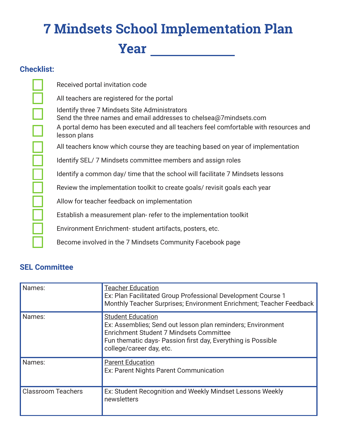## **7 Mindsets School Implementation Plan Year**

## **Checklist:**

 $\frac{\square}{\square}$ 

|<br>|-<br>|

Received portal invitation code All teachers are registered for the portal Identify three 7 Mindsets Site Administrators Send the three names and email addresses to chelsea@7mindsets.com A portal demo has been executed and all teachers feel comfortable with resources and lesson plans All teachers know which course they are teaching based on year of implementation Identify SEL/ 7 Mindsets committee members and assign roles Identify a common day/ time that the school will facilitate 7 Mindsets lessons Review the implementation toolkit to create goals/ revisit goals each year Allow for teacher feedback on implementation Establish a measurement plan- refer to the implementation toolkit Environment Enrichment- student artifacts, posters, etc. Become involved in the 7 Mindsets Community Facebook page

## **SEL Committee**

| Names:                    | <b>Teacher Education</b><br>Ex: Plan Facilitated Group Professional Development Course 1<br>Monthly Teacher Surprises; Environment Enrichment; Teacher Feedback                                                                |
|---------------------------|--------------------------------------------------------------------------------------------------------------------------------------------------------------------------------------------------------------------------------|
| Names:                    | <b>Student Education</b><br>Ex: Assemblies; Send out lesson plan reminders; Environment<br>Enrichment Student 7 Mindsets Committee<br>Fun thematic days- Passion first day, Everything is Possible<br>college/career day, etc. |
| Names:                    | <b>Parent Education</b><br>Ex: Parent Nights Parent Communication                                                                                                                                                              |
| <b>Classroom Teachers</b> | Ex: Student Recognition and Weekly Mindset Lessons Weekly<br>newsletters                                                                                                                                                       |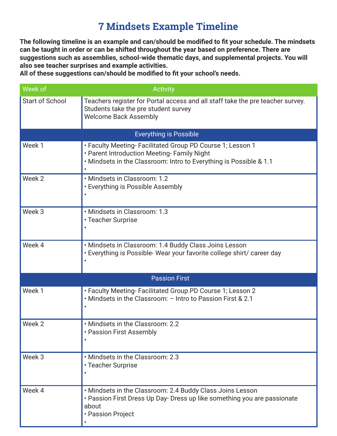## **7 Mindsets Example Timeline**

**The following timeline is an example and can/should be modifed to ft your schedule. The mindsets can be taught in order or can be shifted throughout the year based on preference. There are suggestions such as assemblies, school-wide thematic days, and supplemental projects. You will also see teacher surprises and example activities.**

**All of these suggestions can/should be modifed to ft your school's needs.**

| Week of                | <b>Activity</b>                                                                                                                                                                 |
|------------------------|---------------------------------------------------------------------------------------------------------------------------------------------------------------------------------|
| <b>Start of School</b> | Teachers register for Portal access and all staff take the pre teacher survey.<br>Students take the pre student survey<br><b>Welcome Back Assembly</b>                          |
|                        | <b>Everything is Possible</b>                                                                                                                                                   |
| Week 1                 | • Faculty Meeting- Facilitated Group PD Course 1; Lesson 1<br>• Parent Introduction Meeting- Family Night<br>. Mindsets in the Classroom: Intro to Everything is Possible & 1.1 |
| Week 2                 | · Mindsets in Classroom: 1.2<br>• Everything is Possible Assembly                                                                                                               |
| Week 3                 | · Mindsets in Classroom: 1.3<br>• Teacher Surprise                                                                                                                              |
| Week 4                 | · Mindsets in Classroom: 1.4 Buddy Class Joins Lesson<br>• Everything is Possible-Wear your favorite college shirt/ career day                                                  |
|                        | <b>Passion First</b>                                                                                                                                                            |
| Week 1                 | • Faculty Meeting- Facilitated Group PD Course 1; Lesson 2<br>• Mindsets in the Classroom: - Intro to Passion First & 2.1                                                       |
| Week 2                 | . Mindsets in the Classroom: 2.2<br>• Passion First Assembly                                                                                                                    |
| Week 3                 | . Mindsets in the Classroom: 2.3<br>• Teacher Surprise                                                                                                                          |
| Week 4                 | . Mindsets in the Classroom: 2.4 Buddy Class Joins Lesson<br>• Passion First Dress Up Day- Dress up like something you are passionate<br>about<br>• Passion Project             |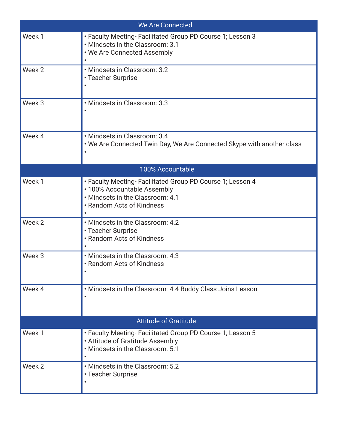| We Are Connected             |                                                                                                                                                            |  |
|------------------------------|------------------------------------------------------------------------------------------------------------------------------------------------------------|--|
| Week 1                       | • Faculty Meeting- Facilitated Group PD Course 1; Lesson 3<br>. Mindsets in the Classroom: 3.1<br>. We Are Connected Assembly<br>$\bullet$                 |  |
| Week 2                       | · Mindsets in Classroom: 3.2<br>• Teacher Surprise                                                                                                         |  |
| Week <sub>3</sub>            | · Mindsets in Classroom: 3.3                                                                                                                               |  |
| Week 4                       | · Mindsets in Classroom: 3.4<br>. We Are Connected Twin Day, We Are Connected Skype with another class                                                     |  |
|                              | 100% Accountable                                                                                                                                           |  |
| Week 1                       | • Faculty Meeting- Facilitated Group PD Course 1; Lesson 4<br>• 100% Accountable Assembly<br>. Mindsets in the Classroom: 4.1<br>• Random Acts of Kindness |  |
| Week 2                       | . Mindsets in the Classroom: 4.2<br>• Teacher Surprise<br>. Random Acts of Kindness                                                                        |  |
| Week 3                       | . Mindsets in the Classroom: 4.3<br>• Random Acts of Kindness                                                                                              |  |
| Week 4                       | . Mindsets in the Classroom: 4.4 Buddy Class Joins Lesson                                                                                                  |  |
| <b>Attitude of Gratitude</b> |                                                                                                                                                            |  |
| Week 1                       | • Faculty Meeting- Facilitated Group PD Course 1; Lesson 5<br>• Attitude of Gratitude Assembly<br>. Mindsets in the Classroom: 5.1<br>$\bullet$            |  |
| Week 2                       | • Mindsets in the Classroom: 5.2<br>• Teacher Surprise                                                                                                     |  |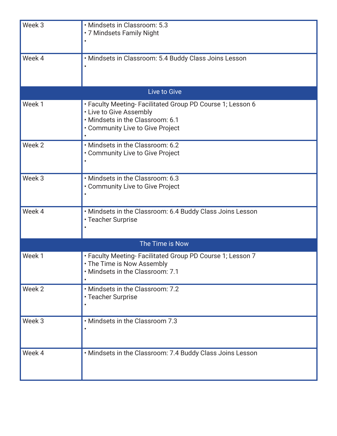| Week 3          | · Mindsets in Classroom: 5.3<br>• 7 Mindsets Family Night                                                                                                     |  |
|-----------------|---------------------------------------------------------------------------------------------------------------------------------------------------------------|--|
| Week 4          | • Mindsets in Classroom: 5.4 Buddy Class Joins Lesson                                                                                                         |  |
|                 | Live to Give                                                                                                                                                  |  |
| Week 1          | • Faculty Meeting- Facilitated Group PD Course 1; Lesson 6<br>• Live to Give Assembly<br>· Mindsets in the Classroom: 6.1<br>• Community Live to Give Project |  |
| Week 2          | . Mindsets in the Classroom: 6.2<br>• Community Live to Give Project                                                                                          |  |
| Week 3          | . Mindsets in the Classroom: 6.3<br>• Community Live to Give Project                                                                                          |  |
| Week 4          | . Mindsets in the Classroom: 6.4 Buddy Class Joins Lesson<br>• Teacher Surprise                                                                               |  |
| The Time is Now |                                                                                                                                                               |  |
| Week 1          | • Faculty Meeting- Facilitated Group PD Course 1; Lesson 7<br>• The Time is Now Assembly<br>. Mindsets in the Classroom: 7.1                                  |  |
| Week 2          | . Mindsets in the Classroom: 7.2<br>• Teacher Surprise                                                                                                        |  |
| Week 3          | . Mindsets in the Classroom 7.3                                                                                                                               |  |
| Week 4          | . Mindsets in the Classroom: 7.4 Buddy Class Joins Lesson                                                                                                     |  |